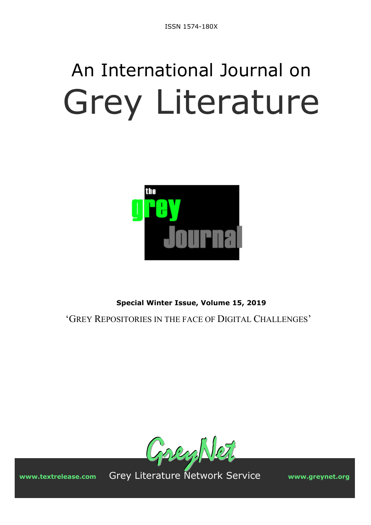# An International Journal on Grey Literature



**Special Winter Issue, Volume 15, 2019** 

'GREY REPOSITORIES IN THE FACE OF DIGITAL CHALLENGES'



**www.textrelease.com** Grey Literature Network Service **www.greynet.org**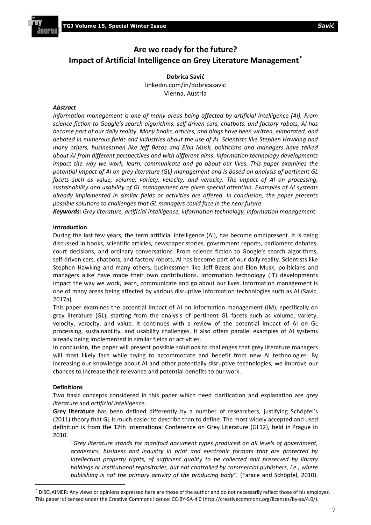# **Are we ready for the future? Impact of Artificial Intelligence on Grey Literature Management[\\*](#page-1-0)**

**Dobrica Savić** linkedin.com/in/dobricasavic Vienna, Austria

# *Abstract*

*Information management is one of many areas being affected by artificial intelligence (AI). From science fiction to Google's search algorithms, self‐driven cars, chatbots, and factory robots, AI has become part of our daily reality. Many books, articles, and blogs have been written, elaborated, and debated in numerous fields and industries about the use of AI. Scientists like Stephen Hawking and many others, businessmen like Jeff Bezos and Elon Musk, politicians and managers have talked about AI from different perspectives and with different aims. Information technology developments impact the way we work, learn, communicate and go about our lives. This paper examines the potential impact of AI on grey literature (GL) management and is based on analysis of pertinent GL facets such as value, volume, variety, velocity, and veracity. The impact of AI on processing, sustainability and usability of GL management are given special attention. Examples of AI systems already implemented in similar fields or activities are offered. In conclusion, the paper presents possible solutions to challenges that GL managers could face in the near future.*

*Keywords: Grey literature, artificial intelligence, information technology, information management*

# **Introduction**

During the last few years, the term artificial intelligence (AI), has become omnipresent. It is being discussed in books, scientific articles, newspaper stories, government reports, parliament debates, court decisions, and ordinary conversations. From science fiction to Google's search algorithms, self-driven cars, chatbots, and factory robots, AI has become part of our daily reality. Scientists like Stephen Hawking and many others, businessmen like Jeff Bezos and Elon Musk, politicians and managers alike have made their own contributions. Information technology (IT) developments impact the way we work, learn, communicate and go about our lives. Information management is one of many areas being affected by various disruptive information technologies such as AI (Savic, 2017a).

This paper examines the potential impact of AI on information management (IM), specifically on grey literature (GL), starting from the analysis of pertinent GL facets such as volume, variety, velocity, veracity, and value. It continues with a review of the potential impact of AI on GL processing, sustainability, and usability challenges. It also offers parallel examples of AI systems already being implemented in similar fields or activities.

In conclusion, the paper will present possible solutions to challenges that grey literature managers will most likely face while trying to accommodate and benefit from new AI technologies. By increasing our knowledge about AI and other potentially disruptive technologies, we improve our chances to increase their relevance and potential benefits to our work.

### **Definitions**

Two basic concepts considered in this paper which need clarification and explanation are *grey literature* and *artificial intelligence*.

**Grey literature** has been defined differently by a number of researchers, justifying Schöpfel's (2011) theory that GL is much easier to describe than to define. The most widely accepted and used definition is from the 12th International Conference on Grey Literature (GL12), held in Prague in 2010.

*"Grey literature stands for manifold document types produced on all levels of government, academics, business and industry in print and electronic formats that are protected by intellectual property rights, of sufficient quality to be collected and preserved by library holdings or institutional repositories, but not controlled by commercial publishers, i.e., where*  publishing is not the primary activity of the producing body". (Farace and Schöpfel, 2010).

<span id="page-1-0"></span><sup>\*</sup> DISCLAIMER: Any views or opinions expressed here are those of the author and do not necessarily reflect those of his employer. This paper is licensed under the Creative Commons licence: CC-BY-SA-4.0 (http://creativecommons.org/licenses/by-sa/4.0/).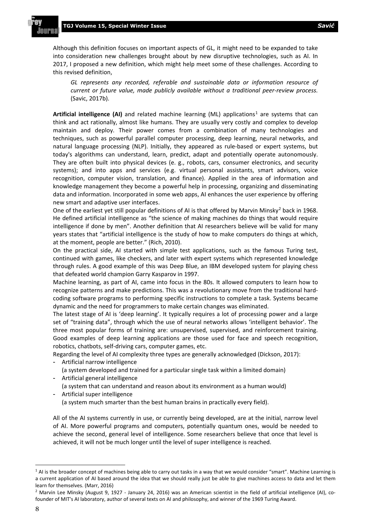Although this definition focuses on important aspects of GL, it might need to be expanded to take into consideration new challenges brought about by new disruptive technologies, such as AI. In 2017, I proposed a new definition, which might help meet some of these challenges. According to this revised definition,

*GL represents any recorded, referable and sustainable data or information resource of current or future value, made publicly available without a traditional peer-review process.* (Savic, 2017b).

**Artificial intelligence (AI)** and related machine learning (ML) applications<sup>[1](#page-2-0)</sup> are systems that can think and act rationally, almost like humans. They are usually very costly and complex to develop maintain and deploy. Their power comes from a combination of many technologies and techniques, such as powerful parallel computer processing, deep learning, neural networks, and natural language processing (NLP). Initially, they appeared as rule-based or expert systems, but today's algorithms can understand, learn, predict, adapt and potentially operate autonomously. They are often built into physical devices (e. g., robots, cars, consumer electronics, and security systems); and into apps and services (e.g. virtual personal assistants, smart advisors, voice recognition, computer vision, translation, and finance). Applied in the area of information and knowledge management they become a powerful help in processing, organizing and disseminating data and information. Incorporated in some web apps, AI enhances the user experience by offering new smart and adaptive user interfaces.

One of the earliest yet still popular definitions of AI is that offered by Marvin Minsky<sup>[2](#page-2-1)</sup> back in 1968. He defined artificial intelligence as "the science of making machines do things that would require intelligence if done by men". Another definition that AI researchers believe will be valid for many years states that "artificial intelligence is the study of how to make computers do things at which, at the moment, people are better." (Rich, 2010).

On the practical side, AI started with simple test applications, such as the famous Turing test, continued with games, like checkers, and later with expert systems which represented knowledge through rules. A good example of this was Deep Blue, an IBM developed system for playing chess that defeated world champion Garry Kasparov in 1997.

Machine learning, as part of AI, came into focus in the 80s. It allowed computers to learn how to recognize patterns and make predictions. This was a revolutionary move from the traditional hardcoding software programs to performing specific instructions to complete a task. Systems became dynamic and the need for programmers to make certain changes was eliminated.

The latest stage of AI is 'deep learning'. It typically requires a lot of processing power and a large set of "training data", through which the use of neural networks allows 'intelligent behavior'. The three most popular forms of training are: unsupervised, supervised, and reinforcement training. Good examples of deep learning applications are those used for face and speech recognition, robotics, chatbots, self-driving cars, computer games, etc.

Regarding the level of AI complexity three types are generally acknowledged (Dickson, 2017):

- Artificial narrow intelligence

(a system developed and trained for a particular single task within a limited domain)

- Artificial general intelligence

(a system that can understand and reason about its environment as a human would) - Artificial super intelligence

(a system much smarter than the best human brains in practically every field).

All of the AI systems currently in use, or currently being developed, are at the initial, narrow level of AI. More powerful programs and computers, potentially quantum ones, would be needed to achieve the second, general level of intelligence. Some researchers believe that once that level is achieved, it will not be much longer until the level of super intelligence is reached.

<span id="page-2-0"></span><sup>&</sup>lt;sup>1</sup> AI is the broader concept of machines being able to carry out tasks in a way that we would consider "smart". Machine Learning is a current application of AI based around the idea that we should really just be able to give machines access to data and let them learn for themselves. (Marr, 2016)

<span id="page-2-1"></span><sup>&</sup>lt;sup>2</sup> Marvin Lee Minsky (August 9, 1927 - January 24, 2016) was an American scientist in the field of artificial intelligence (AI), cofounder of MIT's AI laboratory, author of several texts on AI and philosophy, and winner of the 1969 Turing Award.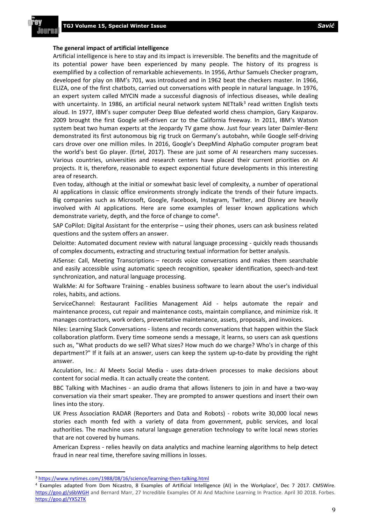#### **The general impact of artificial intelligence**

Artificial intelligence is here to stay and its impact is irreversible. The benefits and the magnitude of its potential power have been experienced by many people. The history of its progress is exemplified by a collection of remarkable achievements. In 1956, Arthur Samuels Checker program, developed for play on IBM's 701, was introduced and in 1962 beat the checkers master. In 1966, ELIZA, one of the first chatbots, carried out conversations with people in natural language. In 1976, an expert system called MYCIN made a successful diagnosis of infectious diseases, while dealing with uncertainty. In 1986, an artificial neural network system NETtalk<sup>[3](#page-3-0)</sup> read written English texts aloud. In 1977, IBM's super computer Deep Blue defeated world chess champion, Gary Kasparov. 2009 brought the first Google self-driven car to the California freeway. In 2011, IBM's Watson system beat two human experts at the Jeopardy TV game show. Just four years later Daimler-Benz demonstrated its first autonomous big rig truck on Germany's autobahn, while Google self-driving cars drove over one million miles. In 2016, Google's DeepMind AlphaGo computer program beat the world's best Go player. (Ertel, 2017). These are just some of AI researchers many successes. Various countries, universities and research centers have placed their current priorities on AI projects. It is, therefore, reasonable to expect exponential future developments in this interesting area of research.

Even today, although at the initial or somewhat basic level of complexity, a number of operational AI applications in classic office environments strongly indicate the trends of their future impacts. Big companies such as Microsoft, Google, Facebook, Instagram, Twitter, and Disney are heavily involved with AI applications. Here are some examples of lesser known applications which demonstrate variety, depth, and the force of change to come<sup>4</sup>.

SAP CoPilot: Digital Assistant for the enterprise – using their phones, users can ask business related questions and the system offers an answer.

Deloitte: Automated document review with natural language processing - quickly reads thousands of complex documents, extracting and structuring textual information for better analysis.

AISense: Call, Meeting Transcriptions – records voice conversations and makes them searchable and easily accessible using automatic speech recognition, speaker identification, speech-and-text synchronization, and natural language processing.

WalkMe: AI for Software Training - enables business software to learn about the user's individual roles, habits, and actions.

ServiceChannel: Restaurant Facilities Management Aid - helps automate the repair and maintenance process, cut repair and maintenance costs, maintain compliance, and minimize risk. It manages contractors, work orders, preventative maintenance, assets, proposals, and invoices.

Niles: Learning Slack Conversations - listens and records conversations that happen within the Slack collaboration platform. Every time someone sends a message, it learns, so users can ask questions such as, "What products do we sell? What sizes? How much do we charge? Who's in charge of this department?" If it fails at an answer, users can keep the system up-to-date by providing the right answer.

Acculation, Inc.: AI Meets Social Media - uses data-driven processes to make decisions about content for social media. It can actually create the content.

BBC Talking with Machines - an audio drama that allows listeners to join in and have a two-way conversation via their smart speaker. They are prompted to answer questions and insert their own lines into the story.

UK Press Association RADAR (Reporters and Data and Robots) - robots write 30,000 local news stories each month fed with a variety of data from government, public services, and local authorities. The machine uses natural language generation technology to write local news stories that are not covered by humans.

American Express - relies heavily on data analytics and machine learning algorithms to help detect fraud in near real time, therefore saving millions in losses.

<span id="page-3-0"></span> <sup>3</sup> <https://www.nytimes.com/1988/08/16/science/learning-then-talking.html>

<span id="page-3-1"></span><sup>&</sup>lt;sup>4</sup> Examples adapted from Dom Nicastro, 8 Examples of Artificial Intelligence (AI) in the Workplace', Dec 7 2017. CMSWire. <https://goo.gl/s6bWGH> and Bernard Marr, 27 Incredible Examples Of AI And Machine Learning In Practice. April 30 2018. Forbes. <https://goo.gl/YX52TK>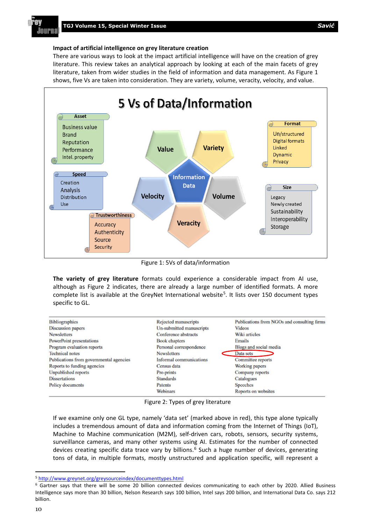

#### **Impact of artificial intelligence on grey literature creation**

There are various ways to look at the impact artificial intelligence will have on the creation of grey literature. This review takes an analytical approach by looking at each of the main facets of grey literature, taken from wider studies in the field of information and data management. As Figure 1 shows, five Vs are taken into consideration. They are variety, volume, veracity, velocity, and value.



Figure 1: 5Vs of data/information

**The variety of grey literature** formats could experience a considerable impact from AI use, although as Figure 2 indicates, there are already a large number of identified formats. A more complete list is available at the GreyNet International website<sup>5</sup>. It lists over 150 document types specific to GL.

| <b>Bibliographics</b>                   | Rejected manuscripts     | Publications from NGOs and consulting firms |
|-----------------------------------------|--------------------------|---------------------------------------------|
| <b>Discussion papers</b>                | Un-submitted manuscripts | <b>Videos</b>                               |
| <b>Newsletters</b>                      | Conference abstracts     | Wiki articles                               |
| PowerPoint presentations                | <b>Book chapters</b>     | Emails                                      |
| Program evaluation reports              | Personal correspondence  | Blogs and social media                      |
| <b>Technical notes</b>                  | <b>Newsletters</b>       | Data sets                                   |
| Publications from governmental agencies | Informal communications  | Committee reports                           |
| Reports to funding agencies             | Census data              | Working papers                              |
| <b>Unpublished reports</b>              | Pre-prints               | Company reports                             |
| <b>Dissertations</b>                    | <b>Standards</b>         | Catalogues                                  |
| Policy documents                        | Patents                  | <b>Speeches</b>                             |
|                                         | Webinars                 | Reports on websites                         |

Figure 2: Types of grey literature

If we examine only one GL type, namely 'data set' (marked above in red), this type alone typically includes a tremendous amount of data and information coming from the Internet of Things (IoT), Machine to Machine communication (M2M), self-driven cars, robots, sensors, security systems, surveillance cameras, and many other systems using AI. Estimates for the number of connected devices creating specific data trace vary by billions.<sup>[6](#page-4-1)</sup> Such a huge number of devices, generating tons of data, in multiple formats, mostly unstructured and application specific, will represent a

<span id="page-4-0"></span> <sup>5</sup> http://www.greynet.org/greysourceindex/documenttypes.html

<span id="page-4-1"></span><sup>&</sup>lt;sup>6</sup> Gartner says that there will be some 20 billion connected devices communicating to each other by 2020. Allied Business Intelligence says more than 30 billion, Nelson Research says 100 billion, Intel says 200 billion, and International Data Co. says 212 billion.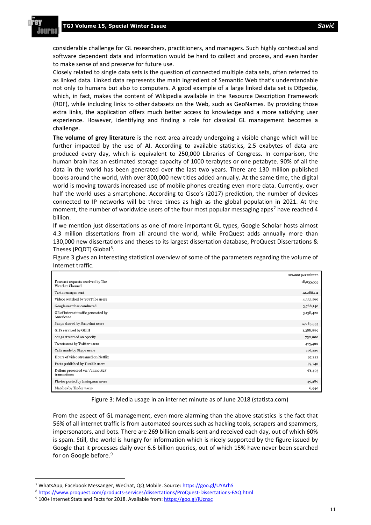considerable challenge for GL researchers, practitioners, and managers. Such highly contextual and software dependent data and information would be hard to collect and process, and even harder to make sense of and preserve for future use.

Closely related to single data sets is the question of connected multiple data sets, often referred to as linked data. Linked data represents the main ingredient of Semantic Web that's understandable not only to humans but also to computers. A good example of a large linked data set is DBpedia, which, in fact, makes the content of Wikipedia available in the Resource Description Framework (RDF), while including links to other datasets on the Web, such as GeoNames. By providing those extra links, the application offers much better access to knowledge and a more satisfying user experience. However, identifying and finding a role for classical GL management becomes a challenge.

**The volume of grey literature** is the next area already undergoing a visible change which will be further impacted by the use of AI. According to available statistics, 2.5 exabytes of data are produced every day, which is equivalent to 250,000 Libraries of Congress. In comparison, the human brain has an estimated storage capacity of 1000 terabytes or one petabyte. 90% of all the data in the world has been generated over the last two years. There are 130 million published books around the world, with over 800,000 new titles added annually. At the same time, the digital world is moving towards increased use of mobile phones creating even more data. Currently, over half the world uses a smartphone. According to Cisco's (2017) prediction, the number of devices connected to IP networks will be three times as high as the global population in 2021. At the moment, the number of worldwide users of the four most popular messaging apps<sup>[7](#page-5-0)</sup> have reached 4 billion.

If we mention just dissertations as one of more important GL types, Google Scholar hosts almost 4.3 million dissertations from all around the world, while ProQuest adds annually more than 130,000 new dissertations and theses to its largest dissertation database, ProQuest Dissertations & Theses (PQDT) Global<sup>[8](#page-5-1)</sup>.

Figure 3 gives an interesting statistical overview of some of the parameters regarding the volume of Internet traffic.

|                                                      | Amount per minute |
|------------------------------------------------------|-------------------|
| Forecast requests received by The<br>Weather Channel | 18,055,555        |
| Text messages sent                                   | 12,986,111        |
| Videos watched by YouTube users                      | 4,333,560         |
| Google searches conducted                            | 3,788,140         |
| GB of internet traffic generated by<br>Americans     | 3,138,420         |
| Snaps shared by Snapchat users                       | 2,083,333         |
| GIFs servived by GIPH                                | 1,388,889         |
| Songs streamed on Spotify                            | 750,000           |
| Tweets sent by Twitter users                         | 473,400           |
| Calls made by Skype users                            | 176,220           |
| Hours of video streamed on Netflix                   | 97,222            |
| Posts published by Tumblr users                      | 79,740            |
| Dollars processed via Venmo P2P<br>transactions      | 68,493            |
| Photos posted by Instagram users                     | 49,380            |
| Matches by Tinder users                              | 6,940             |

Figure 3: Media usage in an internet minute as of June 2018 (statista.com)

From the aspect of GL management, even more alarming than the above statistics is the fact that 56% of all internet traffic is from automated sources such as hacking tools, scrapers and spammers, impersonators, and bots. There are 269 billion emails sent and received each day, out of which 60% is spam. Still, the world is hungry for information which is nicely supported by the figure issued by Google that it processes daily over 6.6 billion queries, out of which 15% have never been searched for on Google before.<sup>[9](#page-5-2)</sup>

<span id="page-5-0"></span><sup>&</sup>lt;sup>7</sup> WhatsApp, Facebook Messanger, WeChat, QQ Mobile. Source: https://goo.gl/UYArhS

<span id="page-5-1"></span><sup>8</sup> https://www.proquest.com/products-services/dissertations/ProQuest-Dissertations-FAQ.html

<span id="page-5-2"></span><sup>9 100+</sup> Internet Stats and Facts for 2018. Available from: https://goo.gl/iUcnxc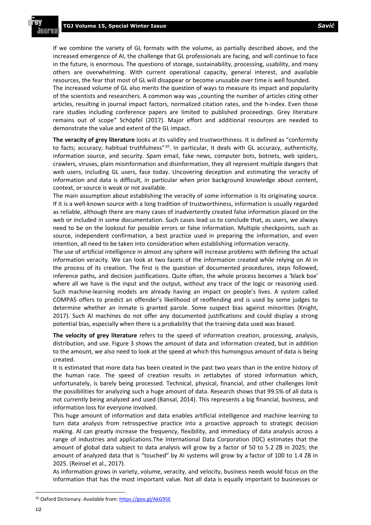If we combine the variety of GL formats with the volume, as partially described above, and the increased emergence of AI, the challenge that GL professionals are facing, and will continue to face in the future, is enormous. The questions of storage, sustainability, processing, usability, and many others are overwhelming. With current operational capacity, general interest, and available resources, the fear that most of GL will disappear or become unusable over time is well founded. The increased volume of GL also merits the question of ways to measure its impact and popularity of the scientists and researchers. A common way was "counting the number of articles citing other articles, resulting in journal impact factors, normalized citation rates, and the h-index. Even those rare studies including conference papers are limited to published proceedings. Grey literature remains out of scope" Schöpfel (2017). Major effort and additional resources are needed to demonstrate the value and extent of the GL impact.

**The veracity of grey literature** looks at its validity and trustworthiness. It is defined as "conformity to facts; accuracy; habitual truthfulness"<sup>10</sup>. In particular, it deals with GL accuracy, authenticity, information source, and security. Spam email, fake news, computer bots, botnets, web spiders, crawlers, viruses, plain misinformation and disinformation, they all represent multiple dangers that web users, including GL users, face today. Uncovering deception and estimating the veracity of information and data is difficult, in particular when prior background knowledge about content, context, or source is weak or not available.

The main assumption about establishing the veracity of some information is its originating source. If it is a well-known source with a long tradition of trustworthiness, information is usually regarded as reliable, although there are many cases of inadvertently created false information placed on the web or included in some documentation. Such cases lead us to conclude that, as users, we always need to be on the lookout for possible errors or false information. Multiple checkpoints, such as source, independent confirmation, a best practice used in preparing the information, and even intention, all need to be taken into consideration when establishing information veracity.

The use of artificial intelligence in almost any sphere will increase problems with defining the actual information veracity. We can look at two facets of the information created while relying on AI in the process of its creation. The first is the question of documented procedures, steps followed, inference paths, and decision justifications. Quite often, the whole process becomes a 'black box' where all we have is the input and the output, without any trace of the logic or reasoning used. Such machine-learning models are already having an impact on people's lives. A system called COMPAS offers to predict an offender's likelihood of reoffending and is used by some judges to determine whether an inmate is granted parole. Some suspect bias against minorities (Knight, 2017). Such AI machines do not offer any documented justifications and could display a strong potential bias, especially when there is a probability that the training data used was biased.

**The velocity of grey literature** refers to the speed of information creation, processing, analysis, distribution, and use. Figure 3 shows the amount of data and information created, but in addition to the amount, we also need to look at the speed at which this humongous amount of data is being created.

It is estimated that more data has been created in the past two years than in the entire history of the human race. The speed of creation results in zettabytes of stored information which, unfortunately, is barely being processed. Technical, physical, financial, and other challenges limit the possibilities for analyzing such a huge amount of data. Research shows that 99.5% of all data is not currently being analyzed and used (Bansal, 2014). This represents a big financial, business, and information loss for everyone involved.

This huge amount of information and data enables artificial intelligence and machine learning to turn data analysis from retrospective practice into a proactive approach to strategic decision making. AI can greatly increase the frequency, flexibility, and immediacy of data analysis across a range of industries and applications.The International Data Corporation (IDC) estimates that the amount of global data subject to data analysis will grow by a factor of 50 to 5.2 ZB in 2025; the amount of analyzed data that is "touched" by AI systems will grow by a factor of 100 to 1.4 ZB in 2025. (Reinsel et al., 2017).

As information grows in variety, volume, veracity, and velocity, business needs would focus on the information that has the most important value. Not all data is equally important to businesses or

<span id="page-6-0"></span> <sup>10</sup> Oxford Dictionary. Available from: https://goo.gl/AkG95E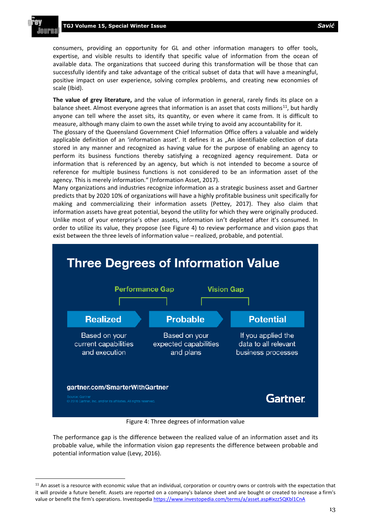consumers, providing an opportunity for GL and other information managers to offer tools, expertise, and visible results to identify that specific value of information from the ocean of available data. The organizations that succeed during this transformation will be those that can successfully identify and take advantage of the critical subset of data that will have a meaningful, positive impact on user experience, solving complex problems, and creating new economies of scale (Ibid).

**The value of grey literature,** and the value of information in general, rarely finds its place on a balance sheet. Almost everyone agrees that information is an asset that costs millions<sup>[11](#page-7-0)</sup>, but hardly anyone can tell where the asset sits, its quantity, or even where it came from. It is difficult to measure, although many claim to own the asset while trying to avoid any accountability for it.

The glossary of the Queensland Government Chief Information Office offers a valuable and widely applicable definition of an 'information asset'. It defines it as "An identifiable collection of data stored in any manner and recognized as having value for the purpose of enabling an agency to perform its business functions thereby satisfying a recognized agency requirement. Data or information that is referenced by an agency, but which is not intended to become a source of reference for multiple business functions is not considered to be an information asset of the agency. This is merely information." (Information Asset, 2017).

Many organizations and industries recognize information as a strategic business asset and Gartner predicts that by 2020 10% of organizations will have a highly profitable business unit specifically for making and commercializing their information assets (Pettey, 2017). They also claim that information assets have great potential, beyond the utility for which they were originally produced. Unlike most of your enterprise's other assets, information isn't depleted after it's consumed. In order to utilize its value, they propose (see Figure 4) to review performance and vision gaps that exist between the three levels of information value – realized, probable, and potential.



Figure 4: Three degrees of information value

The performance gap is the difference between the realized value of an information asset and its probable value, while the information vision gap represents the difference between probable and potential information value (Levy, 2016).

<span id="page-7-0"></span> $11$  An asset is a resource with economic value that an individual, corporation or country owns or controls with the expectation that it will provide a future benefit. Assets are reported on a company's balance sheet and are bought or created to increase a firm's value or benefit the firm's operations. Investopedia https://www.investopedia.com/terms/a/asset.asp#ixzz5QKbl1CnA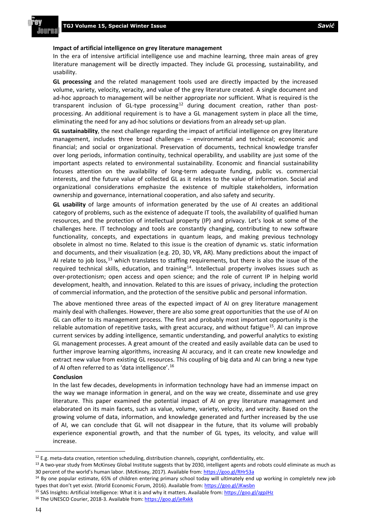#### **Impact of artificial intelligence on grey literature management**

In the era of intensive artificial intelligence use and machine learning, three main areas of grey literature management will be directly impacted. They include GL processing, sustainability, and usability.

**GL processing** and the related management tools used are directly impacted by the increased volume, variety, velocity, veracity, and value of the grey literature created. A single document and ad-hoc approach to management will be neither appropriate nor sufficient. What is required is the transparent inclusion of GL-type processing $12$  during document creation, rather than postprocessing. An additional requirement is to have a GL management system in place all the time, eliminating the need for any ad-hoc solutions or deviations from an already set-up plan.

**GL sustainability**, the next challenge regarding the impact of artificial intelligence on grey literature management, includes three broad challenges – environmental and technical; economic and financial; and social or organizational. Preservation of documents, technical knowledge transfer over long periods, information continuity, technical operability, and usability are just some of the important aspects related to environmental sustainability. Economic and financial sustainability focuses attention on the availability of long-term adequate funding, public vs. commercial interests, and the future value of collected GL as it relates to the value of information. Social and organizational considerations emphasize the existence of multiple stakeholders, information ownership and governance, international cooperation, and also safety and security.

**GL usability** of large amounts of information generated by the use of AI creates an additional category of problems, such as the existence of adequate IT tools, the availability of qualified human resources, and the protection of intellectual property (IP) and privacy. Let's look at some of the challenges here. IT technology and tools are constantly changing, contributing to new software functionality, concepts, and expectations in quantum leaps, and making previous technology obsolete in almost no time. Related to this issue is the creation of dynamic vs. static information and documents, and their visualization (e.g. 2D, 3D, VR, AR). Many predictions about the impact of AI relate to job loss,  $^{13}$  $^{13}$  $^{13}$  which translates to staffing requirements, but there is also the issue of the required technical skills, education, and training<sup>[14](#page-8-2)</sup>. Intellectual property involves issues such as over-protectionism; open access and open science; and the role of current IP in helping world development, health, and innovation. Related to this are issues of privacy, including the protection of commercial information, and the protection of the sensitive public and personal information.

The above mentioned three areas of the expected impact of AI on grey literature management mainly deal with challenges. However, there are also some great opportunities that the use of AI on GL can offer to its management process. The first and probably most important opportunity is the reliable automation of repetitive tasks, with great accuracy, and without fatigue<sup>[15](#page-8-3)</sup>. AI can improve current services by adding intelligence, semantic understanding, and powerful analytics to existing GL management processes. A great amount of the created and easily available data can be used to further improve learning algorithms, increasing AI accuracy, and it can create new knowledge and extract new value from existing GL resources. This coupling of big data and AI can bring a new type of AI often referred to as 'data intelligence'.<sup>16</sup>

#### **Conclusion**

In the last few decades, developments in information technology have had an immense impact on the way we manage information in general, and on the way we create, disseminate and use grey literature. This paper examined the potential impact of AI on grey literature management and elaborated on its main facets, such as value, volume, variety, velocity, and veracity. Based on the growing volume of data, information, and knowledge generated and further increased by the use of AI, we can conclude that GL will not disappear in the future, that its volume will probably experience exponential growth, and that the number of GL types, its velocity, and value will increase.

- <span id="page-8-3"></span><sup>15</sup> SAS Insights: Artificial Intelligence: What it is and why it matters. Available from: https://goo.gl/zgpJHz
- <span id="page-8-4"></span><sup>16</sup> The UNESCO Courier, 2018-3. Available from: https://goo.gl/jeRxkk

<span id="page-8-1"></span><span id="page-8-0"></span> $^{12}$  E.g. meta-data creation, retention scheduling, distribution channels, copyright, confidentiality, etc.<br> $^{13}$  A two-year study from McKinsey Global Institute suggests that by 2030, intelligent agents and robots cou 30 percent of the world's human labor. (McKinsey, 2017). Available from: https://goo.gl/RHr53a

<span id="page-8-2"></span><sup>&</sup>lt;sup>14</sup> By one popular estimate, 65% of children entering primary school today will ultimately end up working in completely new job types that don't yet exist. (World Economic Forum, 2016). Available from: https://goo.gl/JKwsbn